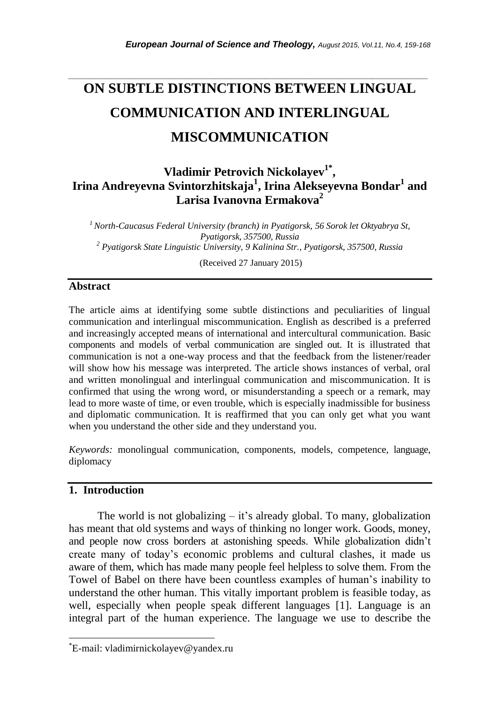# *\_\_\_\_\_\_\_\_\_\_\_\_\_\_\_\_\_\_\_\_\_\_\_\_\_\_\_\_\_\_\_\_\_\_\_\_\_\_\_\_\_\_\_\_\_\_\_\_\_\_\_\_\_\_\_\_\_\_\_\_\_\_\_\_\_\_\_\_\_\_\_* **ON SUBTLE DISTINCTIONS BETWEEN LINGUAL COMMUNICATION AND INTERLINGUAL MISCOMMUNICATION**

# **Vladimir Petrovich Nickolayev1\* , Irina Andreyevna Svintorzhitskaja<sup>1</sup> , Irina Alekseyevna Bondar<sup>1</sup> and Larisa Ivanovna Ermakova<sup>2</sup>**

*<sup>1</sup>North-Caucasus Federal University (branch) in Pyatigorsk, 56 Sorok let Oktyabrya St, Pyatigorsk, 357500, Russia <sup>2</sup> Pyatigorsk State Linguistic University, 9 Kalinina Str., Pyatigorsk, 357500, Russia*

(Received 27 January 2015)

# **Abstract**

The article aims at identifying some subtle distinctions and peculiarities of lingual communication and interlingual miscommunication. English as described is a preferred and increasingly accepted means of international and intercultural communication. Basic components and models of verbal communication are singled out. It is illustrated that communication is not a one-way process and that the feedback from the listener/reader will show how his message was interpreted. The article shows instances of verbal, oral and written monolingual and interlingual communication and miscommunication. It is confirmed that using the wrong word, or misunderstanding a speech or a remark, may lead to more waste of time, or even trouble, which is especially inadmissible for business and diplomatic communication. It is reaffirmed that you can only get what you want when you understand the other side and they understand you.

*Keywords:* monolingual communication, components, models, competence, language, diplomacy

# **1. Introduction**

l

The world is not globalizing  $-$  it's already global. To many, globalization has meant that old systems and ways of thinking no longer work. Goods, money, and people now cross borders at astonishing speeds. While globalization didn't create many of today's economic problems and cultural clashes, it made us aware of them, which has made many people feel helpless to solve them. From the Towel of Babel on there have been countless examples of human's inability to understand the other human. This vitally important problem is feasible today, as well, especially when people speak different languages [1]. Language is an integral part of the human experience. The language we use to describe the

<sup>\*</sup>E-mail: vladimirnickolayev@yandex.ru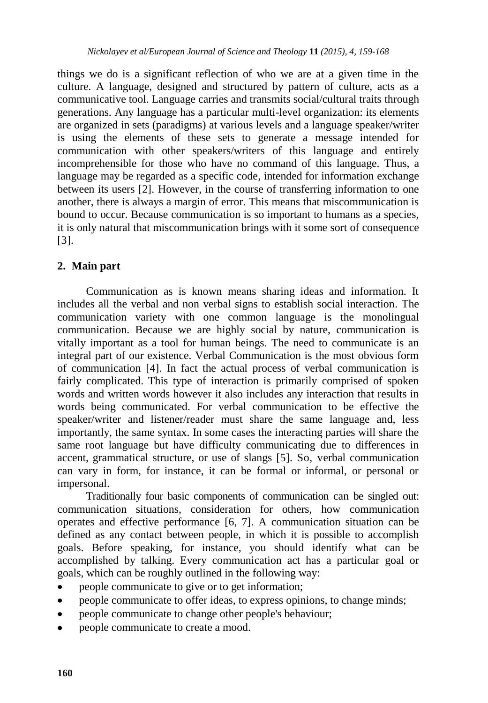things we do is a significant reflection of who we are at a given time in the culture. A language, designed and structured by pattern of culture, acts as a communicative tool. Language carries and transmits social/cultural traits through generations. Any language has a particular multi-level organization: its elements are organized in sets (paradigms) at various levels and a language speaker/writer is using the elements of these sets to generate a message intended for communication with other speakers/writers of this language and entirely incomprehensible for those who have no command of this language. Thus, a language may be regarded as a specific code, intended for information exchange between its users [2]. However, in the course of transferring information to one another, there is always a margin of error. This means that miscommunication is bound to occur. Because communication is so important to humans as a species, it is only natural that miscommunication brings with it some sort of consequence [3].

### **2. Main part**

Communication as is known means sharing ideas and information. It includes all the verbal and non verbal signs to establish social interaction. The communication variety with one common language is the monolingual communication. Because we are highly social by nature, communication is vitally important as a tool for human beings. The need to communicate is an integral part of our existence. Verbal Communication is the most obvious form of communication [4]. In fact the actual process of verbal communication is fairly complicated. This type of interaction is primarily comprised of spoken words and written words however it also includes any interaction that results in words being communicated. For verbal communication to be effective the speaker/writer and listener/reader must share the same language and, less importantly, the same syntax. In some cases the interacting parties will share the same root language but have difficulty communicating due to differences in accent, grammatical structure, or use of slangs [5]. So, verbal communication can vary in form, for instance, it can be formal or informal, or personal or impersonal.

Traditionally four basic components of communication can be singled out: communication situations, consideration for others, how communication operates and effective performance [6, 7]. A communication situation can be defined as any contact between people, in which it is possible to accomplish goals. Before speaking, for instance, you should identify what can be accomplished by talking. Every communication act has a particular goal or goals, which can be roughly outlined in the following way:

- people communicate to give or to get information;  $\bullet$
- people communicate to offer ideas, to express opinions, to change minds;  $\bullet$
- people communicate to change other people's behaviour;  $\bullet$
- people communicate to create a mood.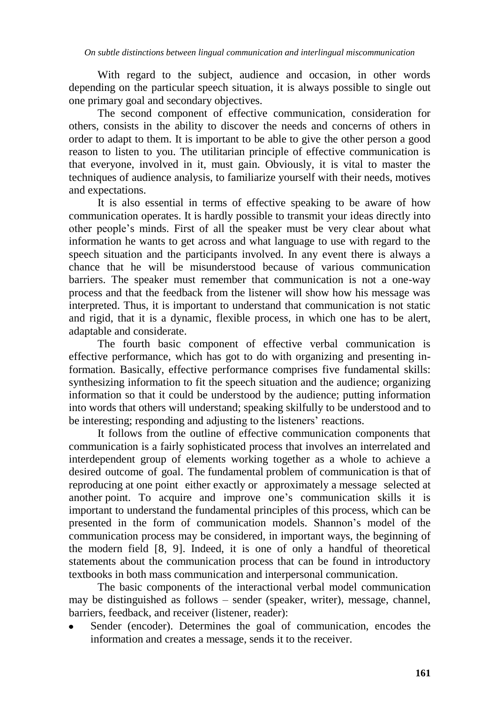With regard to the subject, audience and occasion, in other words depending on the particular speech situation, it is always possible to single out one primary goal and secondary objectives.

The second component of effective communication, consideration for others, consists in the ability to discover the needs and concerns of others in order to adapt to them. It is important to be able to give the other person a good reason to listen to you. The utilitarian principle of effective communication is that everyone, involved in it, must gain. Obviously, it is vital to master the techniques of audience analysis, to familiarize yourself with their needs, motives and expectations.

It is also essential in terms of effective speaking to be aware of how communication operates. It is hardly possible to transmit your ideas directly into other people's minds. First of all the speaker must be very clear about what information he wants to get across and what language to use with regard to the speech situation and the participants involved. In any event there is always a chance that he will be misunderstood because of various communication barriers. The speaker must remember that communication is not a one-way process and that the feedback from the listener will show how his message was interpreted. Thus, it is important to understand that communication is not static and rigid, that it is a dynamic, flexible process, in which one has to be alert, adaptable and considerate.

The fourth basic component of effective verbal communication is effective performance, which has got to do with organizing and presenting information. Basically, effective performance comprises five fundamental skills: synthesizing information to fit the speech situation and the audience; organizing information so that it could be understood by the audience; putting information into words that others will understand; speaking skilfully to be understood and to be interesting; responding and adjusting to the listeners' reactions.

It follows from the outline of effective communication components that communication is a fairly sophisticated process that involves an interrelated and interdependent group of elements working together as a whole to achieve a desired outcome of goal. The fundamental problem of communication is that of reproducing at one point either exactly or approximately a message selected at another point. To acquire and improve one's communication skills it is important to understand the fundamental principles of this process, which can be presented in the form of communication models. Shannon's model of the communication process may be considered, in important ways, the beginning of the modern field [8, 9]. Indeed, it is one of only a handful of theoretical statements about the communication process that can be found in introductory textbooks in both mass communication and interpersonal communication.

The basic components of the interactional verbal model communication may be distinguished as follows – sender (speaker, writer), message, channel, barriers, feedback, and receiver (listener, reader):

Sender (encoder). Determines the goal of communication, encodes the information and creates a message, sends it to the receiver.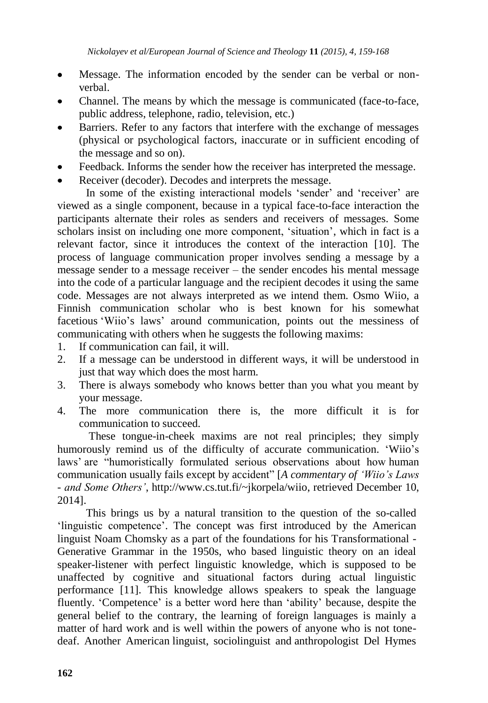- Message. The information encoded by the sender can be verbal or non- $\bullet$ verbal.
- Channel. The means by which the message is communicated (face-to-face, public address, telephone, radio, television, etc.)
- Barriers. Refer to any factors that interfere with the exchange of messages (physical or psychological factors, inaccurate or in sufficient encoding of the message and so on).
- Feedback. Informs the sender how the receiver has interpreted the message.
- Receiver (decoder). Decodes and interprets the message.

In some of the existing interactional models 'sender' and 'receiver' are viewed as a single component, because in a typical face-to-face interaction the participants alternate their roles as senders and receivers of messages. Some scholars insist on including one more component, 'situation', which in fact is a relevant factor, since it introduces the context of the interaction [10]. The process of language communication proper involves sending a message by a message sender to a message receiver – the sender encodes his mental message into the code of a particular language and the recipient decodes it using the same code. Messages are not always interpreted as we intend them. Osmo Wiio, a Finnish communication scholar who is best known for his somewhat facetious 'Wiio's laws' around communication, points out the messiness of communicating with others when he suggests the following maxims:

- 1. If communication can fail, it will.
- 2. If a message can be understood in different ways, it will be understood in just that way which does the most harm.
- 3. There is always somebody who knows better than you what you meant by your message.
- 4. The more communication there is, the more difficult it is for communication to succeed.

These tongue-in-cheek maxims are not real principles; they simply humorously remind us of the difficulty of accurate communication. 'Wiio's laws' are "humoristically formulated serious observations about how human communication usually fails except by accident" [A *commentary of 'Wiio's Laws - and Some Others'*, http://www.cs.tut.fi/~jkorpela/wiio, retrieved December 10, 2014].

This brings us by a natural transition to the question of the so-called ‗linguistic competence'. The concept was first introduced by the American linguist Noam Chomsky as a part of the foundations for his Transformational - Generative Grammar in the 1950s, who based linguistic theory on an ideal speaker-listener with perfect linguistic knowledge, which is supposed to be unaffected by cognitive and situational factors during actual linguistic performance [11]. This knowledge allows speakers to speak the language fluently. 'Competence' is a better word here than 'ability' because, despite the general belief to the contrary, the learning of foreign languages is mainly a matter of hard work and is well within the powers of anyone who is not tonedeaf. Another American linguist, sociolinguist and anthropologist Del Hymes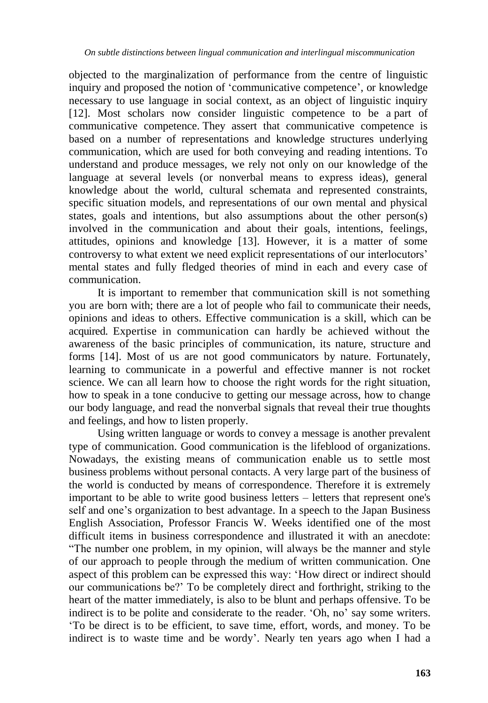objected to the marginalization of performance from the centre of linguistic inquiry and proposed the notion of 'communicative competence', or knowledge necessary to use language in social context, as an object of linguistic inquiry [12]. Most scholars now consider linguistic competence to be a part of communicative competence. They assert that communicative competence is based on a number of representations and knowledge structures underlying communication, which are used for both conveying and reading intentions. To understand and produce messages, we rely not only on our knowledge of the language at several levels (or nonverbal means to express ideas), general knowledge about the world, cultural schemata and represented constraints, specific situation models, and representations of our own mental and physical states, goals and intentions, but also assumptions about the other person(s) involved in the communication and about their goals, intentions, feelings, attitudes, opinions and knowledge [13]. However, it is a matter of some controversy to what extent we need explicit representations of our interlocutors' mental states and fully fledged theories of mind in each and every case of communication.

It is important to remember that communication skill is not something you are born with; there are a lot of people who fail to communicate their needs, opinions and ideas to others. Effective communication is a skill, which can be acquired. Expertise in communication can hardly be achieved without the awareness of the basic principles of communication, its nature, structure and forms [14]. Most of us are not good communicators by nature. Fortunately, learning to communicate in a powerful and effective manner is not rocket science. We can all learn how to choose the right words for the right situation, how to speak in a tone conducive to getting our message across, how to change our body language, and read the nonverbal signals that reveal their true thoughts and feelings, and how to listen properly.

Using written language or words to convey a message is another prevalent type of communication. Good communication is the lifeblood of organizations. Nowadays, the existing means of communication enable us to settle most business problems without personal contacts. A very large part of the business of the world is conducted by means of correspondence. Therefore it is extremely important to be able to write good business letters – letters that represent one's self and one's organization to best advantage. In a speech to the Japan Business English Association, Professor Francis W. Weeks identified one of the most difficult items in business correspondence and illustrated it with an anecdote: "The number one problem, in my opinion, will always be the manner and style of our approach to people through the medium of written communication. One aspect of this problem can be expressed this way: 'How direct or indirect should our communications be?' To be completely direct and forthright, striking to the heart of the matter immediately, is also to be blunt and perhaps offensive. To be indirect is to be polite and considerate to the reader. 'Oh, no' say some writers. ‗To be direct is to be efficient, to save time, effort, words, and money. To be indirect is to waste time and be wordy'. Nearly ten years ago when I had a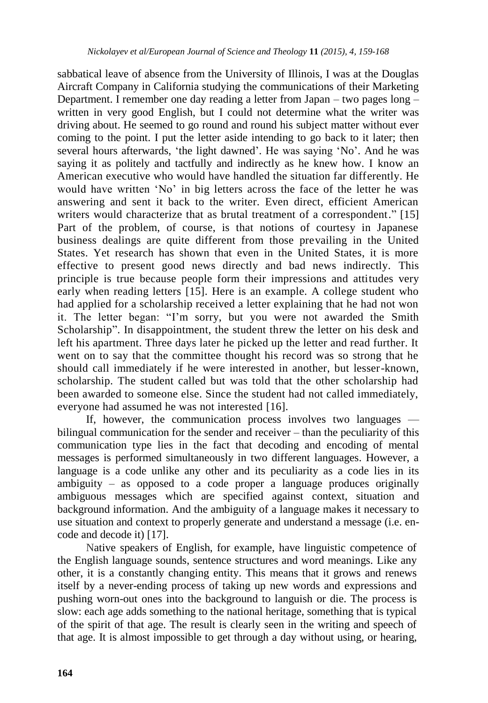sabbatical leave of absence from the University of Illinois, I was at the Douglas Aircraft Company in California studying the communications of their Marketing Department. I remember one day reading a letter from Japan – two pages long – written in very good English, but I could not determine what the writer was driving about. He seemed to go round and round his subject matter without ever coming to the point. I put the letter aside intending to go back to it later; then several hours afterwards, 'the light dawned'. He was saying 'No'. And he was saying it as politely and tactfully and indirectly as he knew how. I know an American executive who would have handled the situation far differently. He would have written 'No' in big letters across the face of the letter he was answering and sent it back to the writer. Even direct, efficient American writers would characterize that as brutal treatment of a correspondent." [15] Part of the problem, of course, is that notions of courtesy in Japanese business dealings are quite different from those prevailing in the United States. Yet research has shown that even in the United States, it is more effective to present good news directly and bad news indirectly. This principle is true because people form their impressions and attitudes very early when reading letters [15]. Here is an example. A college student who had applied for a scholarship received a letter explaining that he had not won it. The letter began: "I'm sorry, but you were not awarded the Smith Scholarship". In disappointment, the student threw the letter on his desk and left his apartment. Three days later he picked up the letter and read further. It went on to say that the committee thought his record was so strong that he should call immediately if he were interested in another, but lesser-known, scholarship. The student called but was told that the other scholarship had been awarded to someone else. Since the student had not called immediately, everyone had assumed he was not interested [16].

If, however, the communication process involves two languages bilingual communication for the sender and receiver – than the peculiarity of this communication type lies in the fact that decoding and encoding of mental messages is performed simultaneously in two different languages. However, a language is a code unlike any other and its peculiarity as a code lies in its ambiguity – as opposed to a code proper a language produces originally ambiguous messages which are specified against context, situation and background information. And the ambiguity of a language makes it necessary to use situation and context to properly generate and understand a message (i.e. encode and decode it) [17].

Native speakers of English, for example, have linguistic competence of the English language sounds, sentence structures and word meanings. Like any other, it is a constantly changing entity. This means that it grows and renews itself by a never-ending process of taking up new words and expressions and pushing worn-out ones into the background to languish or die. The process is slow: each age adds something to the national heritage, something that is typical of the spirit of that age. The result is clearly seen in the writing and speech of that age. It is almost impossible to get through a day without using, or hearing,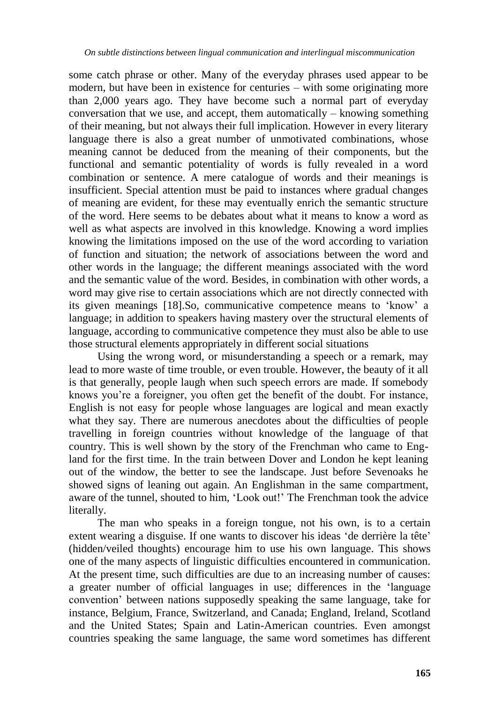some catch phrase or other. Many of the everyday phrases used appear to be modern, but have been in existence for centuries – with some originating more than 2,000 years ago. They have become such a normal part of everyday conversation that we use, and accept, them automatically – knowing something of their meaning, but not always their full implication. However in every literary language there is also a great number of unmotivated combinations, whose meaning cannot be deduced from the meaning of their components, but the functional and semantic potentiality of words is fully revealed in a word combination or sentence. A mere catalogue of words and their meanings is insufficient. Special attention must be paid to instances where gradual changes of meaning are evident, for these may eventually enrich the semantic structure of the word. Here seems to be debates about what it means to know a word as well as what aspects are involved in this knowledge. Knowing a word implies knowing the limitations imposed on the use of the word according to variation of function and situation; the network of associations between the word and other words in the language; the different meanings associated with the word and the semantic value of the word. Besides, in combination with other words, a word may give rise to certain associations which are not directly connected with its given meanings [18]. So, communicative competence means to 'know' a language; in addition to speakers having mastery over the structural elements of language, according to communicative competence they must also be able to use those structural elements appropriately in different social situations

Using the wrong word, or misunderstanding a speech or a remark, may lead to more waste of time trouble, or even trouble. However, the beauty of it all is that generally, people laugh when such speech errors are made. If somebody knows you're a foreigner, you often get the benefit of the doubt. For instance, English is not easy for people whose languages are logical and mean exactly what they say. There are numerous anecdotes about the difficulties of people travelling in foreign countries without knowledge of the language of that country. This is well shown by the story of the Frenchman who came to England for the first time. In the train between Dover and London he kept leaning out of the window, the better to see the landscape. Just before Sevenoaks he showed signs of leaning out again. An Englishman in the same compartment, aware of the tunnel, shouted to him, 'Look out!' The Frenchman took the advice literally.

The man who speaks in a foreign tongue, not his own, is to a certain extent wearing a disguise. If one wants to discover his ideas 'de derrière la tête' (hidden/veiled thoughts) encourage him to use his own language. This shows one of the many aspects of linguistic difficulties encountered in communication. At the present time, such difficulties are due to an increasing number of causes: a greater number of official languages in use; differences in the 'language convention' between nations supposedly speaking the same language, take for instance, Belgium, France, Switzerland, and Canada; England, Ireland, Scotland and the United States; Spain and Latin-American countries. Even amongst countries speaking the same language, the same word sometimes has different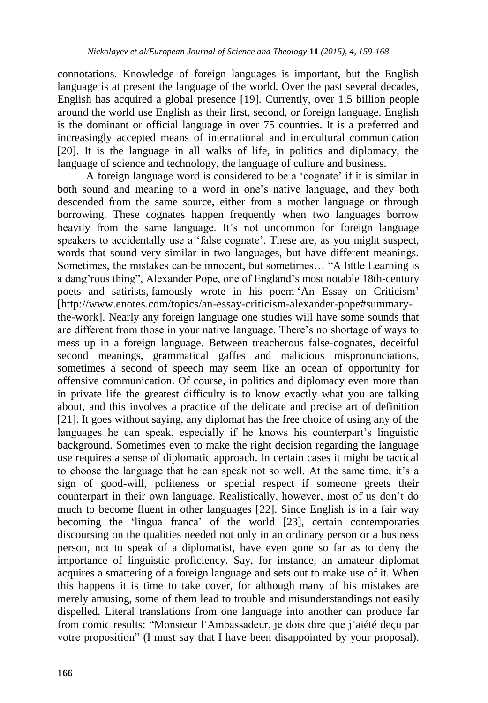connotations. Knowledge of foreign languages is important, but the English language is at present the language of the world. Over the past several decades, English has acquired a global presence [19]. Currently, over 1.5 billion people around the world use English as their first, second, or foreign language. English is the dominant or official language in over 75 countries. It is a preferred and increasingly accepted means of international and intercultural communication [20]. It is the language in all walks of life, in politics and diplomacy, the language of science and technology, the language of culture and business.

A foreign language word is considered to be a 'cognate' if it is similar in both sound and meaning to a word in one's native language, and they both descended from the same source, either from a mother language or through borrowing. These cognates happen frequently when two languages borrow heavily from the same language. It's not uncommon for foreign language speakers to accidentally use a 'false cognate'. These are, as you might suspect, words that sound very similar in two languages, but have different meanings. Sometimes, the mistakes can be innocent, but sometimes... "A little Learning is a dang'rous thing", Alexander Pope, one of England's most notable 18th-century poets and satirists, famously wrote in his poem 'An Essay on Criticism' [http://www.enotes.com/topics/an-essay-criticism-alexander-pope#summarythe-work]. Nearly any foreign language one studies will have some sounds that are different from those in your native language. There's no shortage of ways to mess up in a foreign language. Between treacherous false-cognates, deceitful second meanings, grammatical gaffes and malicious mispronunciations, sometimes a second of speech may seem like an ocean of opportunity for offensive communication. Of course, in politics and diplomacy even more than in private life the greatest difficulty is to know exactly what you are talking about, and this involves a practice of the delicate and precise art of definition [21]. It goes without saying, any diplomat has the free choice of using any of the languages he can speak, especially if he knows his counterpart's linguistic background. Sometimes even to make the right decision regarding the language use requires a sense of diplomatic approach. In certain cases it might be tactical to choose the language that he can speak not so well. At the same time, it's a sign of good-will, politeness or special respect if someone greets their counterpart in their own language. Realistically, however, most of us don't do much to become fluent in other languages [22]. Since English is in a fair way becoming the 'lingua franca' of the world [23], certain contemporaries discoursing on the qualities needed not only in an ordinary person or a business person, not to speak of a diplomatist, have even gone so far as to deny the importance of linguistic proficiency. Say, for instance, an amateur diplomat acquires a smattering of a foreign language and sets out to make use of it. When this happens it is time to take cover, for although many of his mistakes are merely amusing, some of them lead to trouble and misunderstandings not easily dispelled. Literal translations from one language into another can produce far from comic results: "Monsieur l'Ambassadeur, je dois dire que j'aiété deçu par votre proposition" (I must say that I have been disappointed by your proposal).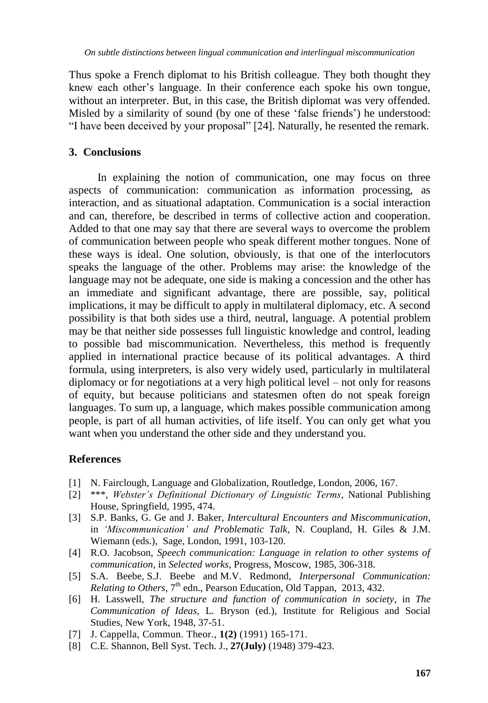Thus spoke a French diplomat to his British colleague. They both thought they knew each other's language. In their conference each spoke his own tongue, without an interpreter. But, in this case, the British diplomat was very offended. Misled by a similarity of sound (by one of these 'false friends') he understood: "I have been deceived by your proposal" [24]. Naturally, he resented the remark.

## **3. Conclusions**

In explaining the notion of communication, one may focus on three aspects of communication: communication as information processing, as interaction, and as situational adaptation. Communication is a social interaction and can, therefore, be described in terms of collective action and cooperation. Added to that one may say that there are several ways to overcome the problem of communication between people who speak different mother tongues. None of these ways is ideal. One solution, obviously, is that one of the interlocutors speaks the language of the other. Problems may arise: the knowledge of the language may not be adequate, one side is making a concession and the other has an immediate and significant advantage, there are possible, say, political implications, it may be difficult to apply in multilateral diplomacy, etc. A second possibility is that both sides use a third, neutral, language. A potential problem may be that neither side possesses full linguistic knowledge and control, leading to possible bad miscommunication. Nevertheless, this method is frequently applied in international practice because of its political advantages. A third formula, using interpreters, is also very widely used, particularly in multilateral diplomacy or for negotiations at a very high political level – not only for reasons of equity, but because politicians and statesmen often do not speak foreign languages. To sum up, a language, which makes possible communication among people, is part of all human activities, of life itself. You can only get what you want when you understand the other side and they understand you.

### **References**

- [1] N. Fairclough, Language and Globalization, Routledge, London, 2006, 167.
- [2] \*\*\*, *Webster's Definitional Dictionary of Linguistic Terms*, National Publishing House, Springfield, 1995, 474.
- [3] S.P. Banks, G. Ge and J. Baker, *Intercultural Encounters and Miscommunication*, in *'Miscommunication' and Problematic Talk*, N. Coupland, H. Giles & J.M. Wiemann (eds.), Sage, London, 1991, 103-120.
- [4] R.O. Jacobson, *Speech communication: Language in relation to other systems of communication*, in *Selected works*, Progress, Moscow, 1985, 306-318.
- [5] S.A. Beebe, S.J. Beebe and M.V. Redmond, *Interpersonal Communication: Relating to Others*,  $7<sup>th</sup>$  edn., Pearson Education, Old Tappan, 2013, 432.
- [6] H. Lasswell, *The structure and function of communication in society*, in *The Communication of Ideas*, L. Bryson (ed.), Institute for Religious and Social Studies, New York, 1948, 37-51.
- [7] J. Cappella, Commun. Theor., **1(2)** (1991) 165-171.
- [8] C.E. Shannon, Bell Syst. Tech. J., **27(July)** (1948) 379-423.